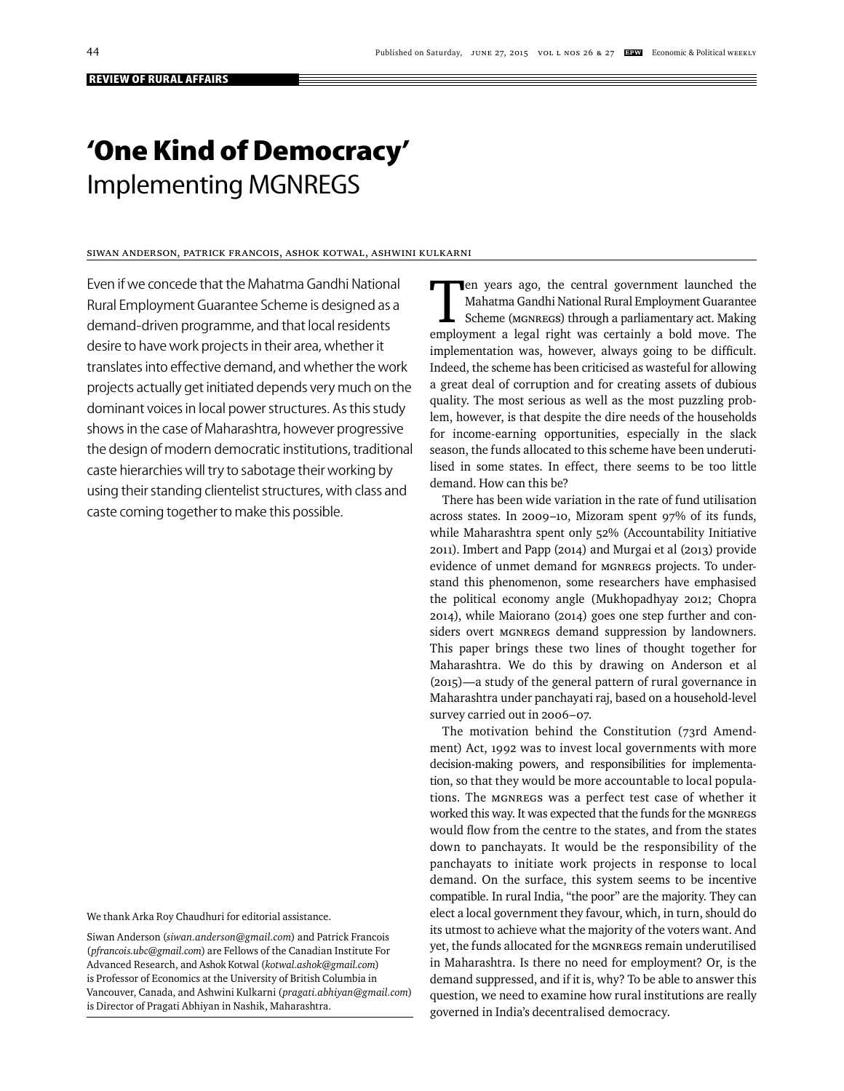# **'One Kind of Democracy'** Implementing MGNREGS

# Siwan Anderson, Patrick Francois, Ashok Kotwal, Ashwini Kulkarni

Even if we concede that the Mahatma Gandhi National Rural Employment Guarantee Scheme is designed as a demand-driven programme, and that local residents desire to have work projects in their area, whether it translates into effective demand, and whether the work projects actually get initiated depends very much on the dominant voices in local power structures. As this study shows in the case of Maharashtra, however progressive the design of modern democratic institutions, traditional caste hierarchies will try to sabotage their working by using their standing clientelist structures, with class and caste coming together to make this possible.

We thank Arka Roy Chaudhuri for editorial assistance.

Siwan Anderson (*siwan.anderson@gmail.com*) and Patrick Francois (*pfrancois.ubc@gmail.com*) are Fellows of the Canadian Institute For Advanced Research, and Ashok Kotwal (*kotwal.ashok@gmail.com*) is Professor of Economics at the University of British Columbia in Vancouver, Canada, and Ashwini Kulkarni (*pragati.abhiyan@gmail.com*) is Director of Pragati Abhiyan in Nashik, Maharashtra.

Ten years ago, the central government launched the<br>
Mahatma Gandhi National Rural Employment Guarantee<br>
Scheme (MGNREGS) through a parliamentary act. Making<br>
Scheme (MGNREGS) through a parliamentary act. Making Mahatma Gandhi National Rural Employment Guarantee employment a legal right was certainly a bold move. The implementation was, however, always going to be difficult. Indeed, the scheme has been criticised as wasteful for allowing a great deal of corruption and for creating assets of dubious quality. The most serious as well as the most puzzling problem, however, is that despite the dire needs of the households for income-earning opportunities, especially in the slack season, the funds allocated to this scheme have been underutilised in some states. In effect, there seems to be too little demand. How can this be?

There has been wide variation in the rate of fund utilisation across states. In 2009–10, Mizoram spent 97% of its funds, while Maharashtra spent only 52% (Accountability Initiative 2011). Imbert and Papp (2014) and Murgai et al (2013) provide evidence of unmet demand for MGNREGS projects. To understand this phenomenon, some researchers have emphasised the political economy angle (Mukhopadhyay 2012; Chopra 2014), while Maiorano (2014) goes one step further and considers overt MGNREGS demand suppression by landowners. This paper brings these two lines of thought together for Maharashtra. We do this by drawing on Anderson et al (2015)—a study of the general pattern of rural governance in Maharashtra under panchayati raj, based on a household-level survey carried out in 2006–07.

The motivation behind the Constitution (73rd Amendment) Act, 1992 was to invest local governments with more decision-making powers, and responsibilities for implementation, so that they would be more accountable to local populations. The MGNREGS was a perfect test case of whether it worked this way. It was expected that the funds for the MGNREGS would flow from the centre to the states, and from the states down to panchayats. It would be the responsibility of the panchayats to initiate work projects in response to local demand. On the surface, this system seems to be incentive compatible. In rural India, "the poor" are the majority. They can elect a local government they favour, which, in turn, should do its utmost to achieve what the majority of the voters want. And yet, the funds allocated for the MGNREGS remain underutilised in Maharashtra. Is there no need for employment? Or, is the demand suppressed, and if it is, why? To be able to answer this question, we need to examine how rural institutions are really governed in India's decentralised democracy.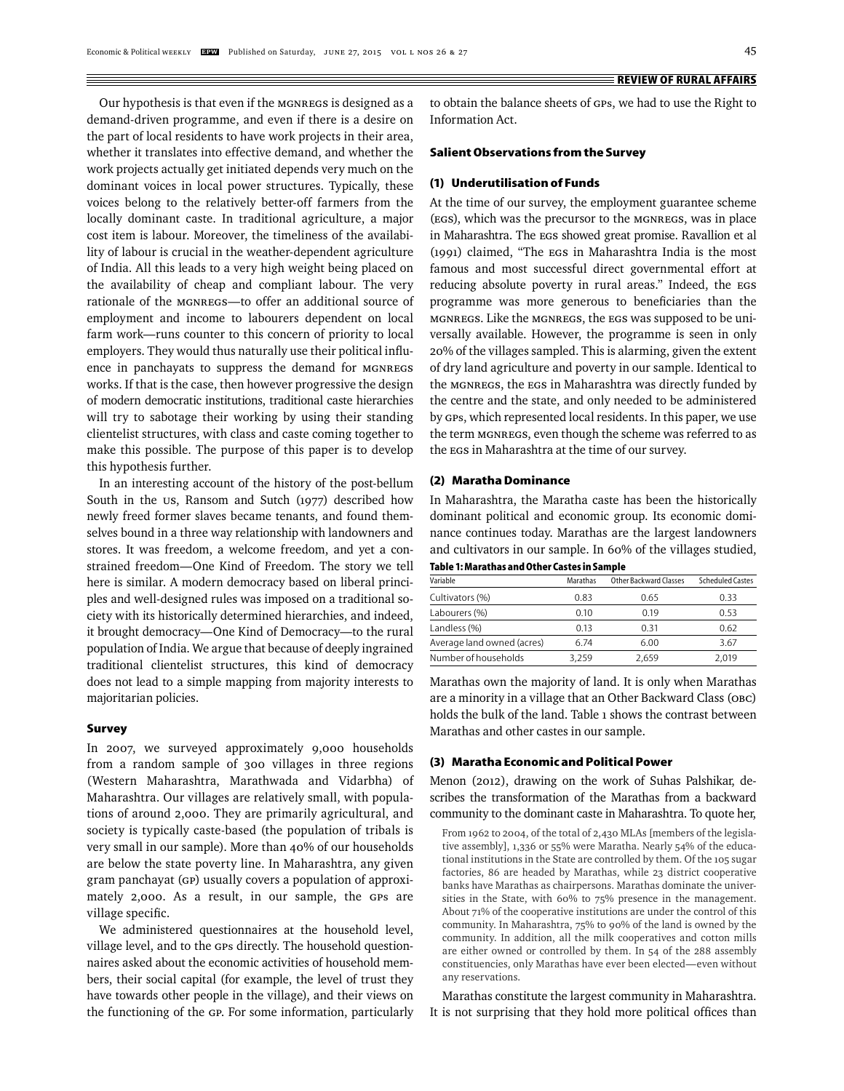Our hypothesis is that even if the MGNREGS is designed as a demand-driven programme, and even if there is a desire on the part of local residents to have work projects in their area, whether it translates into effective demand, and whether the work projects actually get initiated depends very much on the dominant voices in local power structures. Typically, these voices belong to the relatively better-off farmers from the locally dominant caste. In traditional agriculture, a major cost item is labour. Moreover, the timeliness of the availability of labour is crucial in the weather-dependent agriculture of India. All this leads to a very high weight being placed on the availability of cheap and compliant labour. The very rationale of the MGNREGS—to offer an additional source of employment and income to labourers dependent on local farm work—runs counter to this concern of priority to local employers. They would thus naturally use their political influence in panchayats to suppress the demand for MGNREGS works. If that is the case, then however progressive the design of modern democratic institutions, traditional caste hierarchies will try to sabotage their working by using their standing clientelist structures, with class and caste coming together to make this possible. The purpose of this paper is to develop this hypothesis further.

In an interesting account of the history of the post-bellum South in the us, Ransom and Sutch (1977) described how newly freed former slaves became tenants, and found themselves bound in a three way relationship with landowners and stores. It was freedom, a welcome freedom, and yet a constrained freedom—One Kind of Freedom. The story we tell here is similar. A modern democracy based on liberal principles and well-designed rules was imposed on a traditional society with its historically determined hierarchies, and indeed, it brought democracy—One Kind of Democracy—to the rural population of India. We argue that because of deeply ingrained traditional clientelist structures, this kind of democracy does not lead to a simple mapping from majority interests to majoritarian policies.

#### **Survey**

In 2007, we surveyed approximately 9,000 households from a random sample of 300 villages in three regions (Western Maharashtra, Marathwada and Vidarbha) of Maharashtra. Our villages are relatively small, with populations of around 2,000. They are primarily agricultural, and society is typically caste-based (the population of tribals is very small in our sample). More than 40% of our households are below the state poverty line. In Maharashtra, any given gram panchayat (GP) usually covers a population of approximately 2,000. As a result, in our sample, the GPs are village specific.

We administered questionnaires at the household level, village level, and to the GPs directly. The household questionnaires asked about the economic activities of household members, their social capital (for example, the level of trust they have towards other people in the village), and their views on the functioning of the GP. For some information, particularly to obtain the balance sheets of GPs, we had to use the Right to Information Act.

#### **Salient Observations from the Survey**

# **(1) Underutilisation of Funds**

At the time of our survey, the employment guarantee scheme (EGS), which was the precursor to the MGNREGS, was in place in Maharashtra. The EGS showed great promise. Ravallion et al (1991) claimed, "The EGS in Maharashtra India is the most famous and most successful direct governmental effort at reducing absolute poverty in rural areas." Indeed, the EGS programme was more generous to beneficiaries than the M GNREGS. Like the MGNREGS, the EGS was supposed to be universally available. However, the programme is seen in only 20% of the villages sampled. This is alarming, given the extent of dry land agriculture and poverty in our sample. Identical to the MGNREGS, the EGS in Maharashtra was directly funded by the centre and the state, and only needed to be administered by GPs, which represented local residents. In this paper, we use the term MGNREGS, even though the scheme was referred to as the EGS in Maharashtra at the time of our survey.

### **(2) Maratha Dominance**

In Maharashtra, the Maratha caste has been the historically dominant political and economic group. Its economic dominance continues today. Marathas are the largest landowners and cultivators in our sample. In 60% of the villages studied,

**Table 1: Marathas and Other Castes in Sample**

| Variable                   | Marathas | Other Backward Classes | <b>Scheduled Castes</b> |
|----------------------------|----------|------------------------|-------------------------|
| Cultivators (%)            | 0.83     | 0.65                   | 0.33                    |
| Labourers (%)              | 0.10     | 019                    | 0.53                    |
| Landless (%)               | 0.13     | 0 31                   | 0.62                    |
| Average land owned (acres) | 6.74     | 6.00                   | 3.67                    |
| Number of households       | 3.259    | 2.659                  | 2.019                   |

Marathas own the majority of land. It is only when Marathas are a minority in a village that an Other Backward Class (OBC) holds the bulk of the land. Table 1 shows the contrast between Marathas and other castes in our sample.

#### **(3) Maratha Economic and Political Power**

Menon (2012), drawing on the work of Suhas Palshikar, describes the transformation of the Marathas from a backward community to the dominant caste in Maharashtra. To quote her,

From 1962 to 2004, of the total of 2,430 MLAs [members of the legislative assembly], 1,336 or 55% were Maratha. Nearly 54% of the educational institutions in the State are controlled by them. Of the 105 sugar factories, 86 are headed by Marathas, while 23 district cooperative banks have Marathas as chairpersons. Marathas dominate the universities in the State, with 60% to 75% presence in the management. About 71% of the cooperative institutions are under the control of this community. In Maharashtra, 75% to 90% of the land is owned by the community. In addition, all the milk cooperatives and cotton mills are either owned or controlled by them. In 54 of the 288 assembly constituencies, only Marathas have ever been elected—even without any reservations.

Marathas constitute the largest community in Maharashtra. It is not surprising that they hold more political offices than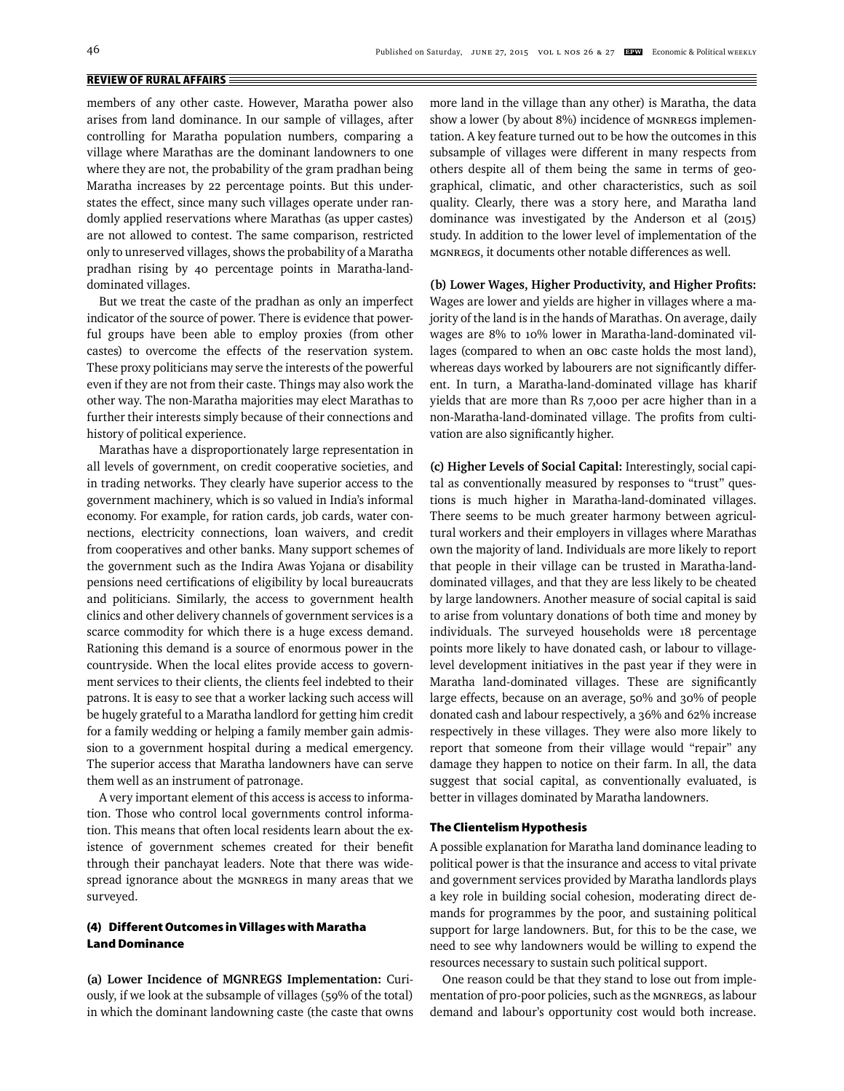members of any other caste. However, Maratha power also arises from land dominance. In our sample of villages, after controlling for Maratha population numbers, comparing a village where Marathas are the dominant landowners to one where they are not, the probability of the gram pradhan being Maratha increases by 22 percentage points. But this understates the effect, since many such villages operate under randomly applied reservations where Marathas (as upper castes) are not allowed to contest. The same comparison, restricted only to unreserved villages, shows the probability of a Maratha pradhan rising by 40 percentage points in Maratha-landdominated villages.

But we treat the caste of the pradhan as only an imperfect indicator of the source of power. There is evidence that powerful groups have been able to employ proxies (from other castes) to overcome the effects of the reservation system. These proxy politicians may serve the interests of the powerful even if they are not from their caste. Things may also work the other way. The non-Maratha majorities may elect Marathas to further their interests simply because of their connections and history of political experience.

Marathas have a disproportionately large representation in all levels of government, on credit cooperative societies, and in trading networks. They clearly have superior access to the government machinery, which is so valued in India's informal economy. For example, for ration cards, job cards, water connections, electricity connections, loan waivers, and credit from cooperatives and other banks. Many support schemes of the government such as the Indira Awas Yojana or disability pensions need certifications of eligibility by local bureaucrats and politicians. Similarly, the access to government health clinics and other delivery channels of government services is a scarce commodity for which there is a huge excess demand. Rationing this demand is a source of enormous power in the countryside. When the local elites provide access to government services to their clients, the clients feel indebted to their patrons. It is easy to see that a worker lacking such access will be hugely grateful to a Maratha landlord for getting him credit for a family wedding or helping a family member gain admission to a government hospital during a medical emergency. The superior access that Maratha landowners have can serve them well as an instrument of patronage.

A very important element of this access is access to information. Those who control local governments control information. This means that often local residents learn about the existence of government schemes created for their benefit through their panchayat leaders. Note that there was widespread ignorance about the MGNREGS in many areas that we surveyed.

# **(4) Different Outcomes in Villages with Maratha Land Dominance**

**(a) Lower Incidence of MGNREGS Implementation:** Curiously, if we look at the subsample of villages (59% of the total) in which the dominant landowning caste (the caste that owns more land in the village than any other) is Maratha, the data show a lower (by about 8%) incidence of MGNREGS implementation. A key feature turned out to be how the outcomes in this subsample of villages were different in many respects from others despite all of them being the same in terms of geographical, climatic, and other characteristics, such as soil quality. Clearly, there was a story here, and Maratha land dominance was investigated by the Anderson et al (2015) study. In addition to the lower level of implementation of the MGNREGS, it documents other notable differences as well.

# (b) Lower Wages, Higher Productivity, and Higher Profits: Wages are lower and yields are higher in villages where a majority of the land is in the hands of Marathas. On average, daily wages are 8% to 10% lower in Maratha-land-dominated villages (compared to when an OBC caste holds the most land), whereas days worked by labourers are not significantly different. In turn, a Maratha-land-dominated village has kharif yields that are more than Rs 7,000 per acre higher than in a non-Maratha-land-dominated village. The profits from cultivation are also significantly higher.

**(c) Higher Levels of Social Capital:** Interestingly, social capital as conventionally measured by responses to "trust" questions is much higher in Maratha-land-dominated villages. There seems to be much greater harmony between agricultural workers and their employers in villages where Marathas own the majority of land. Individuals are more likely to report that people in their village can be trusted in Maratha-landdominated villages, and that they are less likely to be cheated by large landowners. Another measure of social capital is said to arise from voluntary donations of both time and money by individuals. The surveyed households were 18 percentage points more likely to have donated cash, or labour to villagelevel development initiatives in the past year if they were in Maratha land-dominated villages. These are significantly large effects, because on an average, 50% and 30% of people donated cash and labour respectively, a 36% and 62% increase respectively in these villages. They were also more likely to report that someone from their village would "repair" any damage they happen to notice on their farm. In all, the data suggest that social capital, as conventionally evaluated, is better in villages dominated by Maratha landowners.

#### **The Clientelism Hypothesis**

A possible explanation for Maratha land dominance leading to political power is that the insurance and access to vital private and government services provided by Maratha landlords plays a key role in building social cohesion, moderating direct demands for programmes by the poor, and sustaining political support for large landowners. But, for this to be the case, we need to see why landowners would be willing to expend the resources necessary to sustain such political support.

One reason could be that they stand to lose out from implementation of pro-poor policies, such as the MGNREGS, as labour demand and labour's opportunity cost would both increase.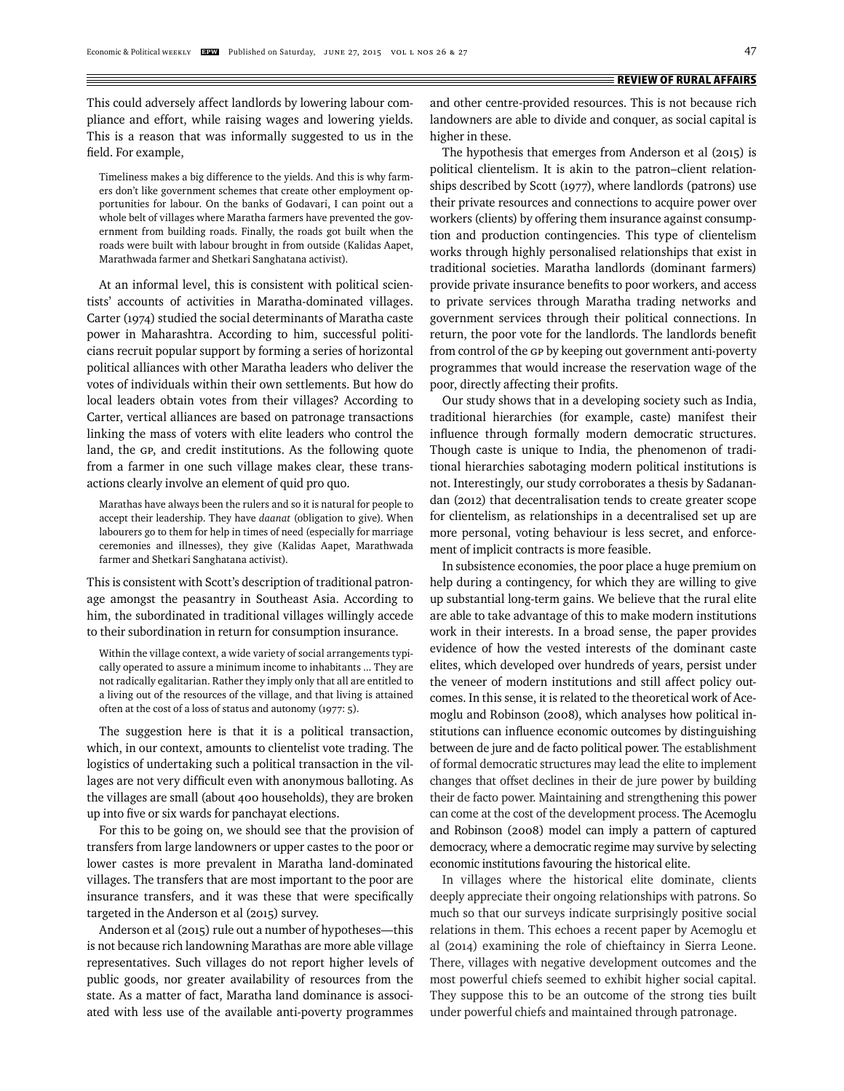This could adversely affect landlords by lowering labour compliance and effort, while raising wages and lowering yields. This is a reason that was informally suggested to us in the field. For example,

Timeliness makes a big difference to the yields. And this is why farmers don't like government schemes that create other employment opportunities for labour. On the banks of Godavari, I can point out a whole belt of villages where Maratha farmers have prevented the government from building roads. Finally, the roads got built when the roads were built with labour brought in from outside (Kalidas Aapet, Marathwada farmer and Shetkari Sanghatana activist).

At an informal level, this is consistent with political scientists' accounts of activities in Maratha-dominated villages. Carter (1974) studied the social determinants of Maratha caste power in Maharashtra. According to him, successful politicians recruit popular support by forming a series of horizontal political alliances with other Maratha leaders who deliver the votes of individuals within their own settlements. But how do local leaders obtain votes from their villages? According to Carter, vertical alliances are based on patronage transactions linking the mass of voters with elite leaders who control the land, the GP, and credit institutions. As the following quote from a farmer in one such village makes clear, these transactions clearly involve an element of quid pro quo.

Marathas have always been the rulers and so it is natural for people to accept their leadership. They have *daanat* (obligation to give). When labourers go to them for help in times of need (especially for marriage ceremonies and illnesses), they give (Kalidas Aapet, Marathwada farmer and Shetkari Sanghatana activist).

This is consistent with Scott's description of traditional patronage amongst the peasantry in Southeast Asia. According to him, the subordinated in traditional villages willingly accede to their subordination in return for consumption insurance.

Within the village context, a wide variety of social arrangements typically operated to assure a minimum income to inhabitants ... They are not radically egalitarian. Rather they imply only that all are entitled to a living out of the resources of the village, and that living is attained often at the cost of a loss of status and autonomy (1977: 5).

The suggestion here is that it is a political transaction, which, in our context, amounts to clientelist vote trading. The logistics of undertaking such a political transaction in the villages are not very difficult even with anonymous balloting. As the villages are small (about 400 households), they are broken up into five or six wards for panchayat elections.

For this to be going on, we should see that the provision of transfers from large landowners or upper castes to the poor or lower castes is more prevalent in Maratha land-dominated villages. The transfers that are most important to the poor are insurance transfers, and it was these that were specifically targeted in the Anderson et al (2015) survey.

Anderson et al (2015) rule out a number of hypotheses—this is not because rich landowning Marathas are more able village representatives. Such villages do not report higher levels of public goods, nor greater availability of resources from the state. As a matter of fact, Maratha land dominance is associated with less use of the available anti-poverty programmes

and other centre-provided resources. This is not because rich landowners are able to divide and conquer, as social capital is higher in these.

The hypothesis that emerges from Anderson et al (2015) is political clientelism. It is akin to the patron–client relationships described by Scott (1977), where landlords (patrons) use their private resources and connections to acquire power over workers (clients) by offering them insurance against consumption and production contingencies. This type of clientelism works through highly personalised relationships that exist in traditional societies. Maratha landlords (dominant farmers) provide private insurance benefits to poor workers, and access to private services through Maratha trading networks and government services through their political connections. In return, the poor vote for the landlords. The landlords benefit from control of the GP by keeping out government anti-poverty programmes that would increase the reservation wage of the poor, directly affecting their profits.

Our study shows that in a developing society such as India, traditional hierarchies (for example, caste) manifest their influence through formally modern democratic structures. Though caste is unique to India, the phenomenon of traditional hierarchies sabotaging modern political institutions is not. Interestingly, our study corroborates a thesis by Sadanandan (2012) that decentralisation tends to create greater scope for clientelism, as relationships in a decentralised set up are more personal, voting behaviour is less secret, and enforcement of implicit contracts is more feasible.

In subsistence economies, the poor place a huge premium on help during a contingency, for which they are willing to give up substantial long-term gains. We believe that the rural elite are able to take advantage of this to make modern institutions work in their interests. In a broad sense, the paper provides evidence of how the vested interests of the dominant caste elites, which developed over hundreds of years, persist under the veneer of modern institutions and still affect policy outcomes. In this sense, it is related to the theoretical work of Acemoglu and Robinson (2008), which analyses how political institutions can influence economic outcomes by distinguishing between de jure and de facto political power. The establishment of formal democratic structures may lead the elite to implement changes that offset declines in their de jure power by building their de facto power. Maintaining and strengthening this power can come at the cost of the development process. The Acemoglu and Robinson (2008) model can imply a pattern of captured democracy, where a democratic regime may survive by selecting economic institutions favouring the historical elite.

In villages where the historical elite dominate, clients deeply appreciate their ongoing relationships with patrons. So much so that our surveys indicate surprisingly positive social relations in them. This echoes a recent paper by Acemoglu et al (2014) examining the role of chieftaincy in Sierra Leone. There, villages with negative development outcomes and the most powerful chiefs seemed to exhibit higher social capital. They suppose this to be an outcome of the strong ties built under powerful chiefs and maintained through patronage.